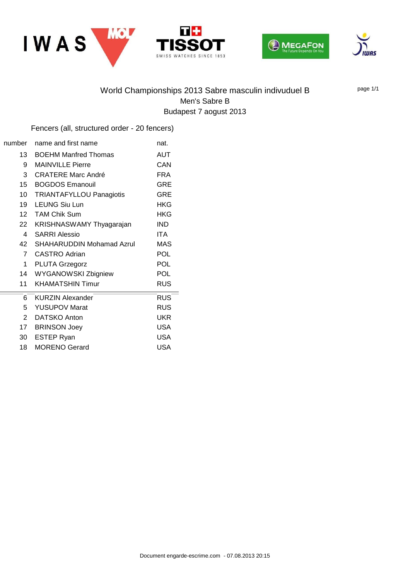





# World Championships 2013 Sabre masculin indivuduel B Men's Sabre B Budapest 7 aogust 2013

ES SINCE 1853

 $T+$ 

**ISS** 

WA<sup>-</sup>

page 1/1

#### Fencers (all, structured order - 20 fencers)

| number          | name and first name              | nat.       |
|-----------------|----------------------------------|------------|
| 13              | <b>BOEHM Manfred Thomas</b>      | <b>AUT</b> |
| 9               | <b>MAINVILLE Pierre</b>          | CAN        |
| 3               | <b>CRATERE Marc André</b>        | <b>FRA</b> |
| 15 <sup>2</sup> | <b>BOGDOS Emanouil</b>           | <b>GRE</b> |
| 10 <sup>1</sup> | <b>TRIANTAFYLLOU Panagiotis</b>  | <b>GRE</b> |
| 19              | <b>LEUNG Siu Lun</b>             | <b>HKG</b> |
| 12 <sup>7</sup> | <b>TAM Chik Sum</b>              | HKG        |
| 22              | KRISHNASWAMY Thyagarajan         | <b>IND</b> |
| 4               | <b>SARRI Alessio</b>             | <b>ITA</b> |
| 42              | <b>SHAHARUDDIN Mohamad Azrul</b> | <b>MAS</b> |
| $\overline{7}$  | <b>CASTRO Adrian</b>             | <b>POL</b> |
| $\mathbf 1$     | <b>PLUTA Grzegorz</b>            | <b>POL</b> |
| 14              | <b>WYGANOWSKI Zbigniew</b>       | <b>POL</b> |
| 11              | <b>KHAMATSHIN Timur</b>          | <b>RUS</b> |
| 6               | <b>KURZIN Alexander</b>          | <b>RUS</b> |
| 5               | <b>YUSUPOV Marat</b>             | <b>RUS</b> |
| $\overline{2}$  | <b>DATSKO Anton</b>              | UKR        |
| 17 <sup>7</sup> | <b>BRINSON Joey</b>              | <b>USA</b> |
| 30              | <b>ESTEP Ryan</b>                | <b>USA</b> |
| 18              | <b>MORENO Gerard</b>             | <b>USA</b> |
|                 |                                  |            |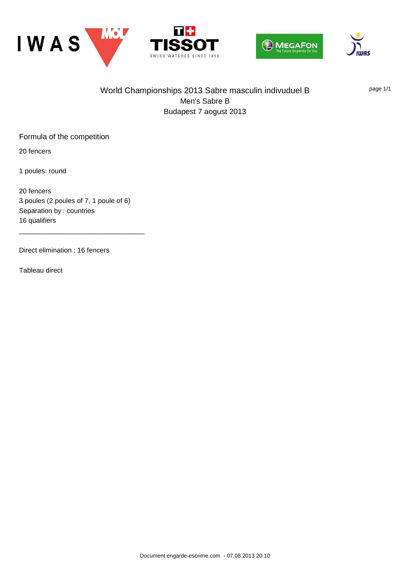







## World Championships 2013 Sabre masculin indivuduel B Men's Sabre B Budapest 7 aogust 2013

page 1/1

Formula of the competition

20 fencers

1 poules: round

20 fencers 3 poules (2 poules of 7, 1 poule of 6) Separation by : countries 16 qualifiers

\_\_\_\_\_\_\_\_\_\_\_\_\_\_\_\_\_\_\_\_\_\_\_\_\_\_\_\_\_\_\_\_\_

Direct elimination : 16 fencers

Tableau direct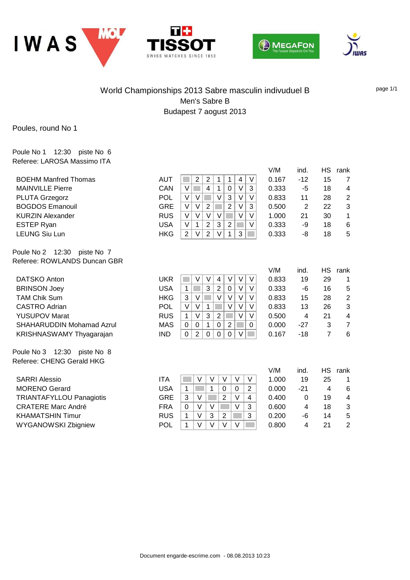





V/M ind. HS rank



#### World Championships 2013 Sabre masculin indivuduel B Men's Sabre B Budapest 7 aogust 2013

page 1/1

Poules, round No 1

Poule No 1 12:30 piste No 6 Referee: LAROSA Massimo ITA

| <b>BOEHM Manfred Thomas</b>      | AUT        | 2<br>2<br>1<br>1<br>4<br>V                                                 | 0.167 | $-12$          | 15             | 7                       |
|----------------------------------|------------|----------------------------------------------------------------------------|-------|----------------|----------------|-------------------------|
| <b>MAINVILLE Pierre</b>          | CAN        | $\vee$<br>$\overline{4}$<br>3<br>$\vee$<br>1<br>$\Omega$                   | 0.333 | $-5$           | 18             | 4                       |
| <b>PLUTA Grzegorz</b>            | <b>POL</b> | $\vee$<br>$\vee$<br>$\vee$<br>3<br>$\vee$<br>$\vee$                        | 0.833 | 11             | 28             | $\overline{\mathbf{c}}$ |
| <b>BOGDOS Emanouil</b>           | <b>GRE</b> | $\vee$<br>V<br>$\overline{2}$<br>$\overline{2}$<br>$\vee$<br>3             | 0.500 | $\overline{2}$ | 22             | 3                       |
| <b>KURZIN Alexander</b>          | <b>RUS</b> | $\vee$<br>V<br>$\vee$<br>V<br>$\vee$<br>$\vee$                             | 1.000 | 21             | 30             | 1                       |
| <b>ESTEP Ryan</b>                | <b>USA</b> | $\overline{2}$<br>$\vee$<br>3<br>$\overline{2}$<br>V<br>1                  | 0.333 | -9             | 18             | 6                       |
| <b>LEUNG Siu Lun</b>             | <b>HKG</b> | $\overline{2}$<br>V<br>$\mathbf{1}$<br>3<br>2<br>V                         | 0.333 | -8             | 18             | 5                       |
| Poule No 2 12:30<br>piste No 7   |            |                                                                            |       |                |                |                         |
| Referee: ROWLANDS Duncan GBR     |            |                                                                            |       |                |                |                         |
|                                  |            |                                                                            | V/M   | ind.           | HS.            | rank                    |
| DATSKO Anton                     | <b>UKR</b> | V<br>V<br>V<br>V<br>V<br>4                                                 | 0.833 | 19             | 29             | 1                       |
| <b>BRINSON Joey</b>              | <b>USA</b> | 3<br>$\overline{2}$<br>V<br>V<br>$\mathbf 1$<br>0                          | 0.333 | -6             | 16             | 5                       |
| <b>TAM Chik Sum</b>              | <b>HKG</b> | V<br>3<br>V<br>$\vee$<br>$\vee$<br>V                                       | 0.833 | 15             | 28             | $\overline{\mathbf{c}}$ |
| CASTRO Adrian                    | <b>POL</b> | V<br>$\vee$<br>$\vee$<br>$\vee$<br>V<br>1                                  | 0.833 | 13             | 26             | 3                       |
| <b>YUSUPOV Marat</b>             | <b>RUS</b> | 3<br>$\overline{2}$<br>V<br>V<br>V<br>$\mathbf{1}$                         | 0.500 | $\overline{4}$ | 21             | 4                       |
| <b>SHAHARUDDIN Mohamad Azrul</b> | MAS        | $\overline{2}$<br>0<br>1<br>0<br>0<br>$\Omega$                             | 0.000 | $-27$          | 3              | $\overline{7}$          |
| KRISHNASWAMY Thyagarajan         | <b>IND</b> | $\overline{2}$<br>$\mathbf 0$<br>$\mathbf 0$<br>$\mathbf 0$<br>$\vee$<br>0 | 0.167 | $-18$          | $\overline{7}$ | 6                       |
| Poule No 3 12:30<br>piste No 8   |            |                                                                            |       |                |                |                         |
| Referee: CHENG Gerald HKG        |            |                                                                            |       |                |                |                         |
|                                  |            |                                                                            | V/M   | ind.           | <b>HS</b>      | rank                    |
| <b>SARRI Alessio</b>             | <b>ITA</b> | V<br>$\vee$<br>V<br>$\vee$<br>V                                            | 1.000 | 19             | 25             | 1                       |
| <b>MORENO Gerard</b>             | <b>USA</b> | 1<br>$\overline{2}$<br>$\mathbf{1}$<br>$\mathbf{0}$<br>0                   | 0.000 | $-21$          | $\overline{4}$ | 6                       |
| <b>TRIANTAFYLLOU Panagiotis</b>  | <b>GRE</b> | 3<br>$\overline{2}$<br>$\vee$<br>$\vee$<br>$\overline{4}$                  | 0.400 | 0              | 19             | 4                       |
| <b>CRATERE Marc André</b>        | <b>FRA</b> | $\vee$<br>$\vee$<br>$\vee$<br>3<br>$\mathbf 0$                             | 0.600 | 4              | 18             | 3                       |
| <b>KHAMATSHIN Timur</b>          | <b>RUS</b> | $\vee$<br>3<br>2<br>3<br>$\mathbf{1}$                                      | 0.200 | -6             | 14             | 5                       |
| <b>WYGANOWSKI Zbigniew</b>       | <b>POL</b> | $\vee$<br>$\vee$<br>$\vee$<br>1<br>$\vee$                                  | 0.800 | 4              | 21             | $\overline{2}$          |
|                                  |            |                                                                            |       |                |                |                         |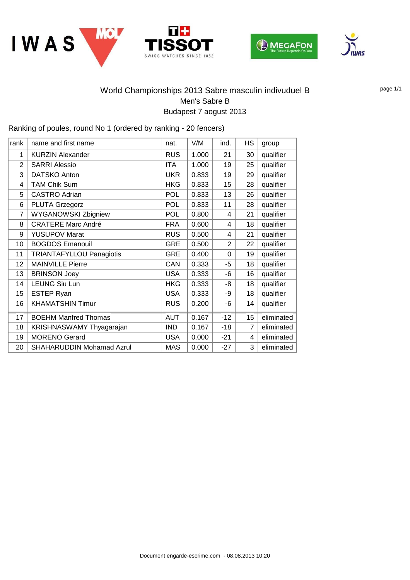







## World Championships 2013 Sabre masculin indivuduel B Men's Sabre B Budapest 7 aogust 2013

Ranking of poules, round No 1 (ordered by ranking - 20 fencers)

| rank           | name and first name              | nat.       | V/M   | ind.           | HS             | group      |
|----------------|----------------------------------|------------|-------|----------------|----------------|------------|
| 1              | <b>KURZIN Alexander</b>          | <b>RUS</b> | 1.000 | 21             | 30             | qualifier  |
| 2              | <b>SARRI Alessio</b>             | <b>ITA</b> | 1.000 | 19             | 25             | qualifier  |
| 3              | <b>DATSKO Anton</b>              | <b>UKR</b> | 0.833 | 19             | 29             | qualifier  |
| 4              | <b>TAM Chik Sum</b>              | <b>HKG</b> | 0.833 | 15             | 28             | qualifier  |
| 5              | <b>CASTRO Adrian</b>             | <b>POL</b> | 0.833 | 13             | 26             | qualifier  |
| 6              | <b>PLUTA Grzegorz</b>            | <b>POL</b> | 0.833 | 11             | 28             | qualifier  |
| $\overline{7}$ | <b>WYGANOWSKI Zbigniew</b>       | <b>POL</b> | 0.800 | 4              | 21             | qualifier  |
| 8              | <b>CRATERE Marc André</b>        | <b>FRA</b> | 0.600 | 4              | 18             | qualifier  |
| 9              | <b>YUSUPOV Marat</b>             | <b>RUS</b> | 0.500 | 4              | 21             | qualifier  |
| 10             | <b>BOGDOS Emanouil</b>           | <b>GRE</b> | 0.500 | $\overline{2}$ | 22             | qualifier  |
| 11             | <b>TRIANTAFYLLOU Panagiotis</b>  | <b>GRE</b> | 0.400 | $\Omega$       | 19             | qualifier  |
| 12             | <b>MAINVILLE Pierre</b>          | CAN        | 0.333 | -5             | 18             | qualifier  |
| 13             | <b>BRINSON Joey</b>              | <b>USA</b> | 0.333 | -6             | 16             | qualifier  |
| 14             | <b>LEUNG Siu Lun</b>             | <b>HKG</b> | 0.333 | -8             | 18             | qualifier  |
| 15             | ESTEP Ryan                       | <b>USA</b> | 0.333 | -9             | 18             | qualifier  |
| 16             | <b>KHAMATSHIN Timur</b>          | <b>RUS</b> | 0.200 | -6             | 14             | qualifier  |
| 17             | <b>BOEHM Manfred Thomas</b>      | <b>AUT</b> | 0.167 | $-12$          | 15             | eliminated |
| 18             | KRISHNASWAMY Thyagarajan         | <b>IND</b> | 0.167 | $-18$          | $\overline{7}$ | eliminated |
| 19             | <b>MORENO Gerard</b>             | <b>USA</b> | 0.000 | $-21$          | 4              | eliminated |
| 20             | <b>SHAHARUDDIN Mohamad Azrul</b> | <b>MAS</b> | 0.000 | $-27$          | 3              | eliminated |

page 1/1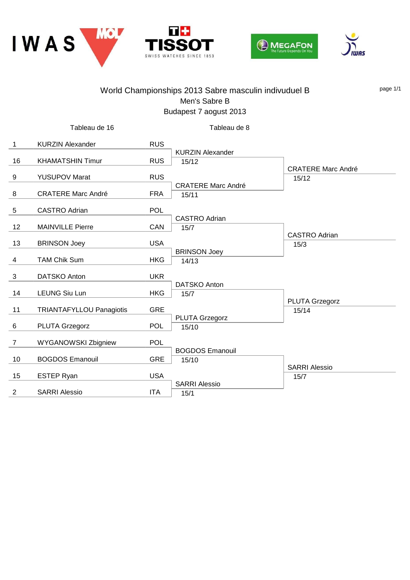







|    |                                 |            | World Championships 2013 Sabre masculin indivuduel B<br>Men's Sabre B<br>Budapest 7 aogust 2013 |                                    | page 1/1 |
|----|---------------------------------|------------|-------------------------------------------------------------------------------------------------|------------------------------------|----------|
|    | Tableau de 16                   |            | Tableau de 8                                                                                    |                                    |          |
| 1  | <b>KURZIN Alexander</b>         | <b>RUS</b> | <b>KURZIN Alexander</b>                                                                         |                                    |          |
| 16 | <b>KHAMATSHIN Timur</b>         | <b>RUS</b> | 15/12                                                                                           |                                    |          |
| 9  | <b>YUSUPOV Marat</b>            | <b>RUS</b> |                                                                                                 | <b>CRATERE Marc André</b><br>15/12 |          |
| 8  | <b>CRATERE Marc André</b>       | <b>FRA</b> | <b>CRATERE Marc André</b><br>15/11                                                              |                                    |          |
| 5  | <b>CASTRO Adrian</b>            | POL        |                                                                                                 |                                    |          |
| 12 | <b>MAINVILLE Pierre</b>         | CAN        | <b>CASTRO Adrian</b><br>15/7                                                                    |                                    |          |
| 13 | <b>BRINSON Joey</b>             | <b>USA</b> |                                                                                                 | <b>CASTRO Adrian</b><br>15/3       |          |
| 4  | <b>TAM Chik Sum</b>             | <b>HKG</b> | <b>BRINSON Joey</b><br>14/13                                                                    |                                    |          |
| 3  | DATSKO Anton                    | <b>UKR</b> |                                                                                                 |                                    |          |
| 14 | <b>LEUNG Siu Lun</b>            | <b>HKG</b> | <b>DATSKO Anton</b><br>15/7                                                                     |                                    |          |
| 11 | <b>TRIANTAFYLLOU Panagiotis</b> | <b>GRE</b> |                                                                                                 | PLUTA Grzegorz<br>15/14            |          |
| 6  | PLUTA Grzegorz                  | <b>POL</b> | PLUTA Grzegorz<br>15/10                                                                         |                                    |          |
| 7  | <b>WYGANOWSKI Zbigniew</b>      | POL        |                                                                                                 |                                    |          |
| 10 | <b>BOGDOS Emanouil</b>          | <b>GRE</b> | <b>BOGDOS Emanouil</b><br>15/10                                                                 |                                    |          |
| 15 | <b>ESTEP Ryan</b>               | <b>USA</b> |                                                                                                 | <b>SARRI Alessio</b><br>15/7       |          |
| 2  | <b>SARRI Alessio</b>            | <b>ITA</b> | <b>SARRI Alessio</b><br>15/1                                                                    |                                    |          |
|    |                                 |            |                                                                                                 |                                    |          |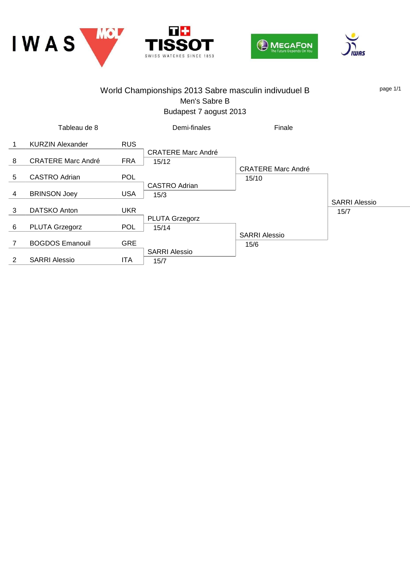







#### World Championships 2013 Sabre masculin indivuduel B Men's Sabre B Budapest 7 aogust 2013 page 1/1 1 KURZIN Alexander RUS Tableau de 8 8 CRATERE Marc André FRA 15/12 5 CASTRO Adrian POL 4 BRINSON Joey USA 15/3 3 DATSKO Anton UKR 6 PLUTA Grzegorz POL 15/14 7 BOGDOS Emanouil GRE 2 SARRI Alessio ITA 15/7 CRATERE Marc André Demi-finales CASTRO Adrian 15/10 PLUTA Grzegorz SARRI Alessio 15/6 CRATERE Marc André Finale SARRI Alessio 15/7 SARRI Alessio